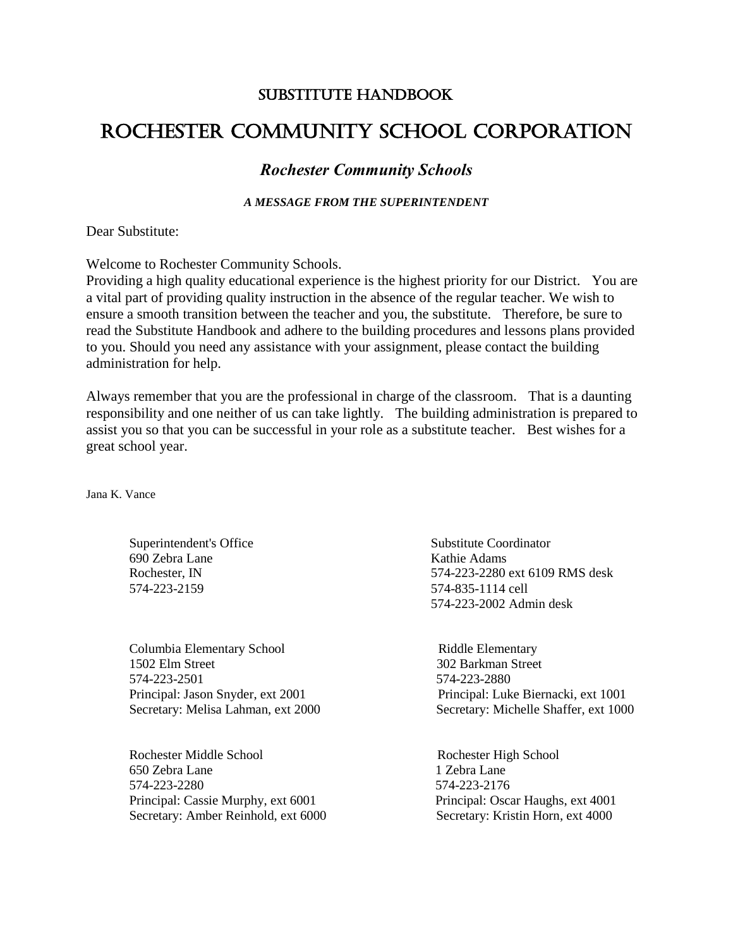## SUBSTITUTE HANDBOOK

## Rochester Community School Corporation

## *Rochester Community Schools*

*A MESSAGE FROM THE SUPERINTENDENT*

Dear Substitute:

Welcome to Rochester Community Schools.

Providing a high quality educational experience is the highest priority for our District. You are a vital part of providing quality instruction in the absence of the regular teacher. We wish to ensure a smooth transition between the teacher and you, the substitute. Therefore, be sure to read the Substitute Handbook and adhere to the building procedures and lessons plans provided to you. Should you need any assistance with your assignment, please contact the building administration for help.

Always remember that you are the professional in charge of the classroom. That is a daunting responsibility and one neither of us can take lightly. The building administration is prepared to assist you so that you can be successful in your role as a substitute teacher. Best wishes for a great school year.

Jana K. Vance

Superintendent's Office Substitute Coordinator 690 Zebra Lane Kathie Adams 574-223-2159 574-835-1114 cell

Columbia Elementary School **Riddle Elementary** 1502 Elm Street 302 Barkman Street 574-223-2501 574-223-2880

Rochester Middle School Rochester High School 650 Zebra Lane 1 Zebra Lane 574-223-2280 574-223-2176 Principal: Cassie Murphy, ext 6001 Principal: Oscar Haughs, ext 4001 Secretary: Amber Reinhold, ext 6000 Secretary: Kristin Horn, ext 4000

 Rochester, IN 574-223-2280 ext 6109 RMS desk 574-223-2002 Admin desk

Principal: Jason Snyder, ext 2001 Principal: Luke Biernacki, ext 1001 Secretary: Melisa Lahman, ext 2000 Secretary: Michelle Shaffer, ext 1000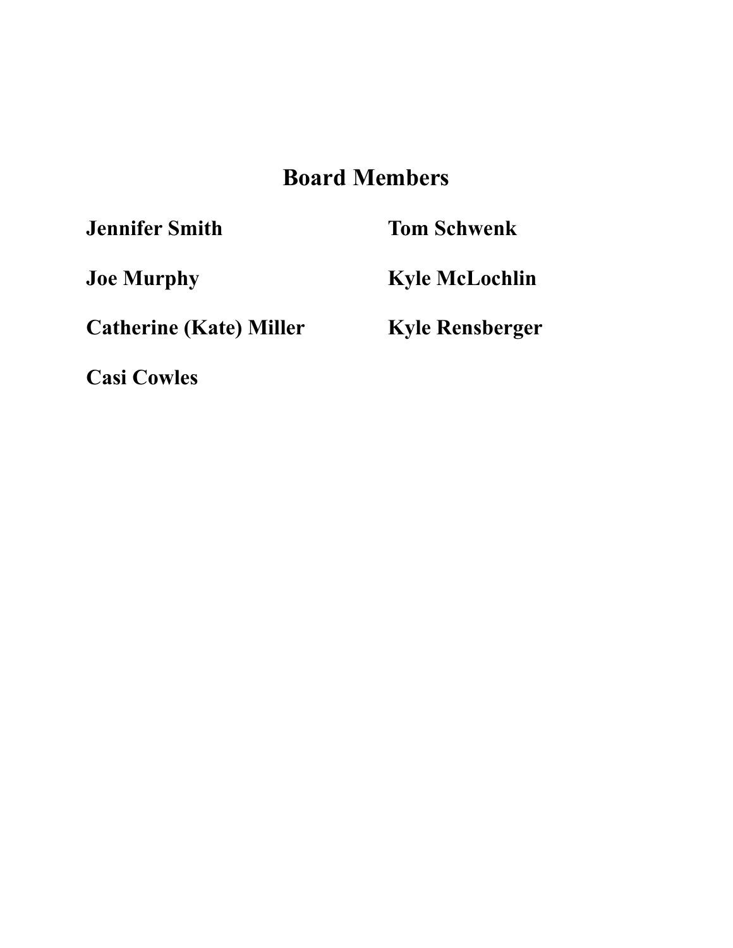# **Board Members**

**Jennifer Smith Tom Schwenk**

**Catherine (Kate) Miller Kyle Rensberger**

**Casi Cowles** 

**Joe Murphy Kyle McLochlin**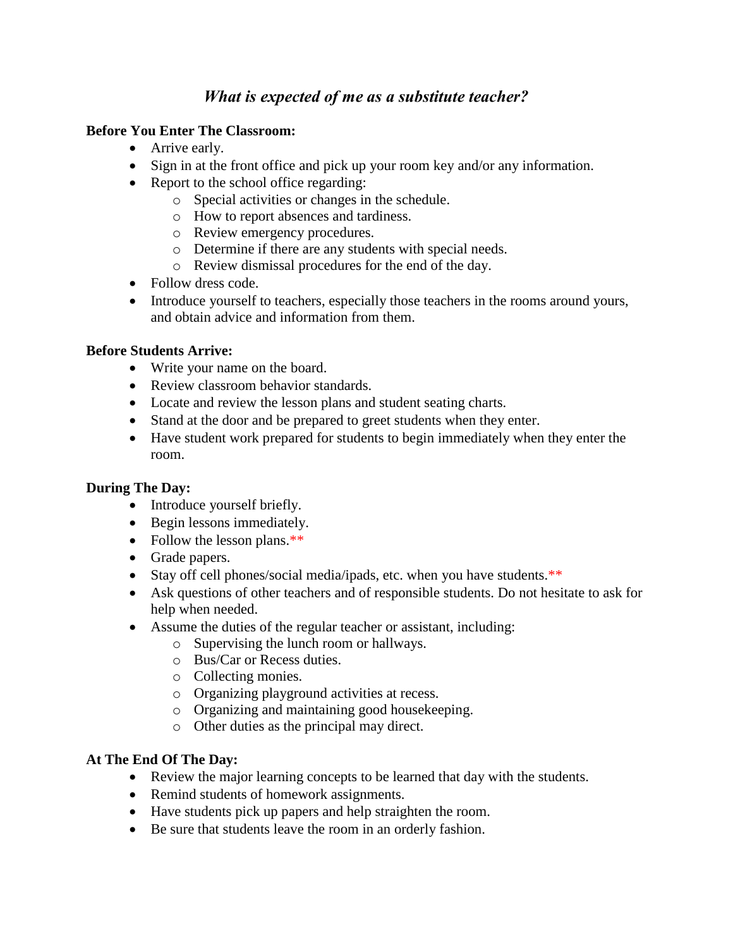## *What is expected of me as a substitute teacher?*

## **Before You Enter The Classroom:**

- Arrive early.
- Sign in at the front office and pick up your room key and/or any information.
- Report to the school office regarding:
	- o Special activities or changes in the schedule.
	- o How to report absences and tardiness.
	- o Review emergency procedures.
	- o Determine if there are any students with special needs.
	- o Review dismissal procedures for the end of the day.
- Follow dress code.
- Introduce yourself to teachers, especially those teachers in the rooms around yours, and obtain advice and information from them.

## **Before Students Arrive:**

- Write your name on the board.
- Review classroom behavior standards.
- Locate and review the lesson plans and student seating charts.
- Stand at the door and be prepared to greet students when they enter.
- Have student work prepared for students to begin immediately when they enter the room.

## **During The Day:**

- Introduce yourself briefly.
- Begin lessons immediately.
- Follow the lesson plans.\*\*
- Grade papers.
- Stay off cell phones/social media/ipads, etc. when you have students.\*\*
- Ask questions of other teachers and of responsible students. Do not hesitate to ask for help when needed.
- Assume the duties of the regular teacher or assistant, including:
	- o Supervising the lunch room or hallways.
	- o Bus/Car or Recess duties.
	- o Collecting monies.
	- o Organizing playground activities at recess.
	- o Organizing and maintaining good housekeeping.
	- o Other duties as the principal may direct.

## **At The End Of The Day:**

- Review the major learning concepts to be learned that day with the students.
- Remind students of homework assignments.
- Have students pick up papers and help straighten the room.
- Be sure that students leave the room in an orderly fashion.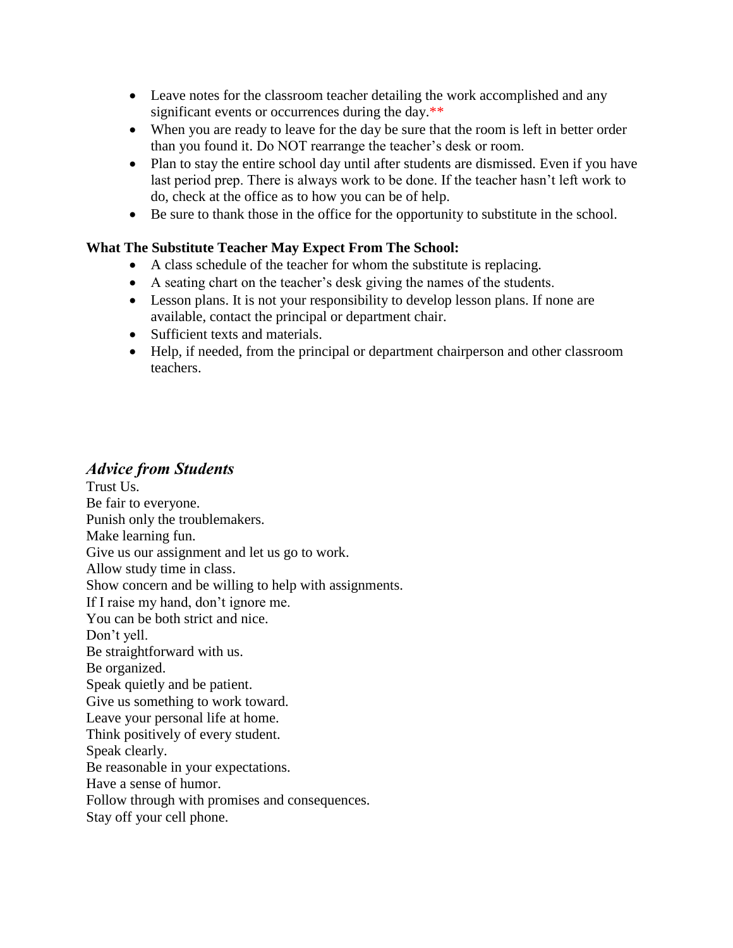- Leave notes for the classroom teacher detailing the work accomplished and any significant events or occurrences during the day.\*\*
- When you are ready to leave for the day be sure that the room is left in better order than you found it. Do NOT rearrange the teacher's desk or room.
- Plan to stay the entire school day until after students are dismissed. Even if you have last period prep. There is always work to be done. If the teacher hasn't left work to do, check at the office as to how you can be of help.
- Be sure to thank those in the office for the opportunity to substitute in the school.

## **What The Substitute Teacher May Expect From The School:**

- A class schedule of the teacher for whom the substitute is replacing.
- A seating chart on the teacher's desk giving the names of the students.
- Lesson plans. It is not your responsibility to develop lesson plans. If none are available, contact the principal or department chair.
- Sufficient texts and materials.
- Help, if needed, from the principal or department chairperson and other classroom teachers.

## *Advice from Students*

Trust Us. Be fair to everyone. Punish only the troublemakers. Make learning fun. Give us our assignment and let us go to work. Allow study time in class. Show concern and be willing to help with assignments. If I raise my hand, don't ignore me. You can be both strict and nice. Don't yell. Be straightforward with us. Be organized. Speak quietly and be patient. Give us something to work toward. Leave your personal life at home. Think positively of every student. Speak clearly. Be reasonable in your expectations. Have a sense of humor. Follow through with promises and consequences. Stay off your cell phone.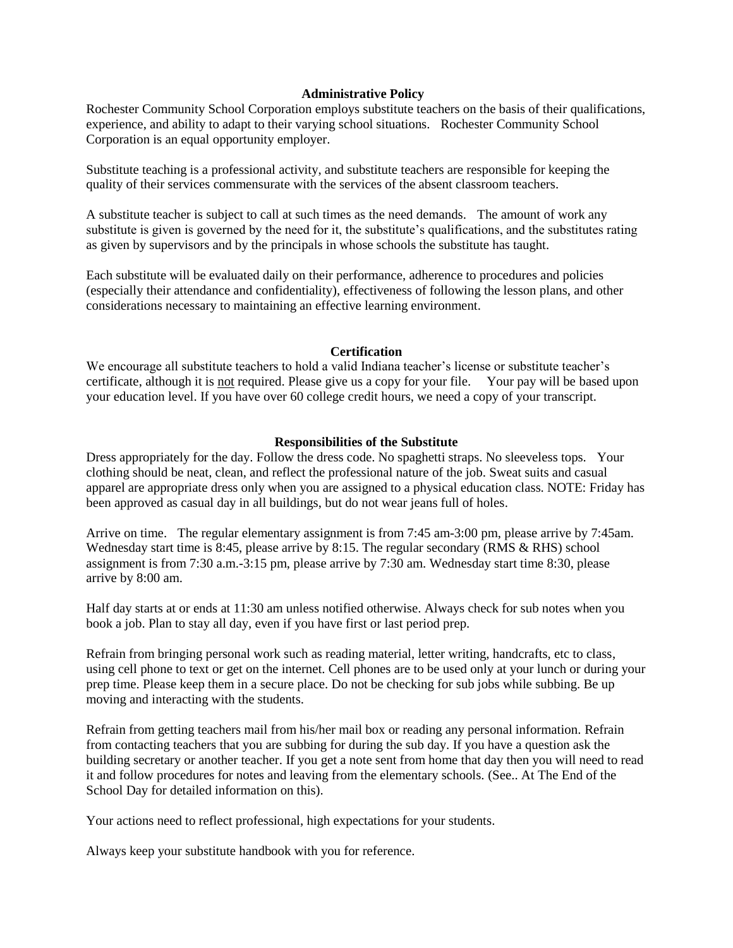#### **Administrative Policy**

Rochester Community School Corporation employs substitute teachers on the basis of their qualifications, experience, and ability to adapt to their varying school situations. Rochester Community School Corporation is an equal opportunity employer.

Substitute teaching is a professional activity, and substitute teachers are responsible for keeping the quality of their services commensurate with the services of the absent classroom teachers.

A substitute teacher is subject to call at such times as the need demands. The amount of work any substitute is given is governed by the need for it, the substitute's qualifications, and the substitutes rating as given by supervisors and by the principals in whose schools the substitute has taught.

Each substitute will be evaluated daily on their performance, adherence to procedures and policies (especially their attendance and confidentiality), effectiveness of following the lesson plans, and other considerations necessary to maintaining an effective learning environment.

#### **Certification**

We encourage all substitute teachers to hold a valid Indiana teacher's license or substitute teacher's certificate, although it is not required. Please give us a copy for your file. Your pay will be based upon your education level. If you have over 60 college credit hours, we need a copy of your transcript.

#### **Responsibilities of the Substitute**

Dress appropriately for the day. Follow the dress code. No spaghetti straps. No sleeveless tops. Your clothing should be neat, clean, and reflect the professional nature of the job. Sweat suits and casual apparel are appropriate dress only when you are assigned to a physical education class. NOTE: Friday has been approved as casual day in all buildings, but do not wear jeans full of holes.

Arrive on time. The regular elementary assignment is from 7:45 am-3:00 pm, please arrive by 7:45am. Wednesday start time is 8:45, please arrive by 8:15. The regular secondary (RMS & RHS) school assignment is from 7:30 a.m.-3:15 pm, please arrive by 7:30 am. Wednesday start time 8:30, please arrive by 8:00 am.

Half day starts at or ends at 11:30 am unless notified otherwise. Always check for sub notes when you book a job. Plan to stay all day, even if you have first or last period prep.

Refrain from bringing personal work such as reading material, letter writing, handcrafts, etc to class, using cell phone to text or get on the internet. Cell phones are to be used only at your lunch or during your prep time. Please keep them in a secure place. Do not be checking for sub jobs while subbing. Be up moving and interacting with the students.

Refrain from getting teachers mail from his/her mail box or reading any personal information. Refrain from contacting teachers that you are subbing for during the sub day. If you have a question ask the building secretary or another teacher. If you get a note sent from home that day then you will need to read it and follow procedures for notes and leaving from the elementary schools. (See.. At The End of the School Day for detailed information on this).

Your actions need to reflect professional, high expectations for your students.

Always keep your substitute handbook with you for reference.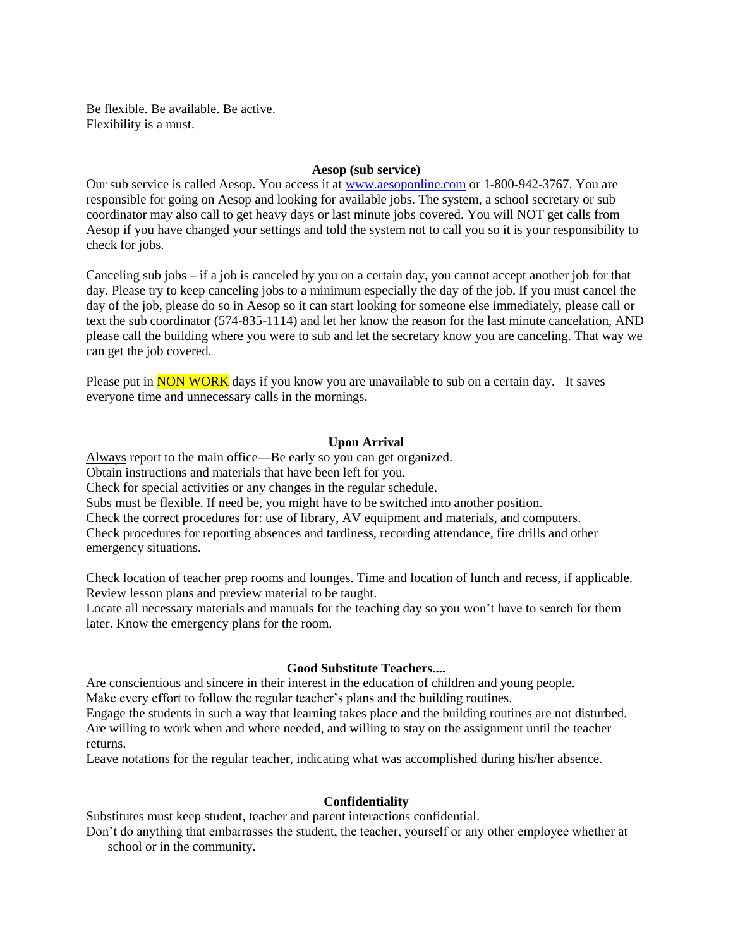Be flexible. Be available. Be active. Flexibility is a must.

#### **Aesop (sub service)**

Our sub service is called Aesop. You access it at [www.aesoponline.com](http://www.aesoponline.com/) or 1-800-942-3767. You are responsible for going on Aesop and looking for available jobs. The system, a school secretary or sub coordinator may also call to get heavy days or last minute jobs covered. You will NOT get calls from Aesop if you have changed your settings and told the system not to call you so it is your responsibility to check for jobs.

Canceling sub jobs – if a job is canceled by you on a certain day, you cannot accept another job for that day. Please try to keep canceling jobs to a minimum especially the day of the job. If you must cancel the day of the job, please do so in Aesop so it can start looking for someone else immediately, please call or text the sub coordinator (574-835-1114) and let her know the reason for the last minute cancelation, AND please call the building where you were to sub and let the secretary know you are canceling. That way we can get the job covered.

Please put in **NON WORK** days if you know you are unavailable to sub on a certain day. It saves everyone time and unnecessary calls in the mornings.

#### **Upon Arrival**

Always report to the main office—Be early so you can get organized. Obtain instructions and materials that have been left for you. Check for special activities or any changes in the regular schedule. Subs must be flexible. If need be, you might have to be switched into another position. Check the correct procedures for: use of library, AV equipment and materials, and computers. Check procedures for reporting absences and tardiness, recording attendance, fire drills and other emergency situations.

Check location of teacher prep rooms and lounges. Time and location of lunch and recess, if applicable. Review lesson plans and preview material to be taught.

Locate all necessary materials and manuals for the teaching day so you won't have to search for them later. Know the emergency plans for the room.

#### **Good Substitute Teachers....**

Are conscientious and sincere in their interest in the education of children and young people.

Make every effort to follow the regular teacher's plans and the building routines.

Engage the students in such a way that learning takes place and the building routines are not disturbed. Are willing to work when and where needed, and willing to stay on the assignment until the teacher returns.

Leave notations for the regular teacher, indicating what was accomplished during his/her absence.

#### **Confidentiality**

Substitutes must keep student, teacher and parent interactions confidential.

Don't do anything that embarrasses the student, the teacher, yourself or any other employee whether at school or in the community.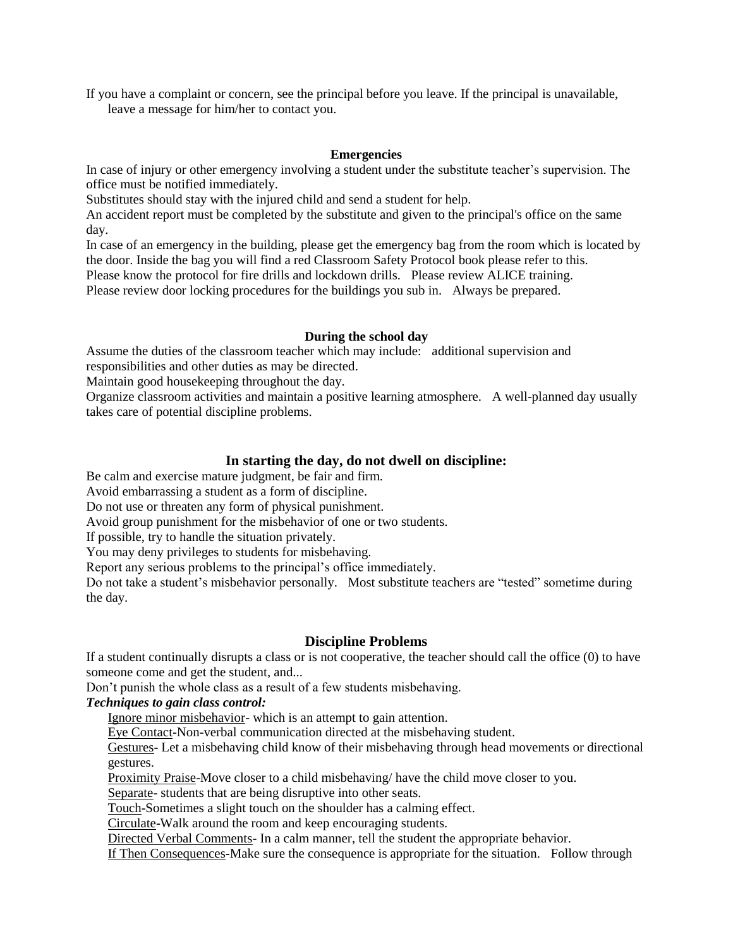If you have a complaint or concern, see the principal before you leave. If the principal is unavailable, leave a message for him/her to contact you.

#### **Emergencies**

In case of injury or other emergency involving a student under the substitute teacher's supervision. The office must be notified immediately.

Substitutes should stay with the injured child and send a student for help.

An accident report must be completed by the substitute and given to the principal's office on the same day.

In case of an emergency in the building, please get the emergency bag from the room which is located by the door. Inside the bag you will find a red Classroom Safety Protocol book please refer to this. Please know the protocol for fire drills and lockdown drills. Please review ALICE training.

Please review door locking procedures for the buildings you sub in. Always be prepared.

#### **During the school day**

Assume the duties of the classroom teacher which may include: additional supervision and responsibilities and other duties as may be directed.

Maintain good housekeeping throughout the day.

Organize classroom activities and maintain a positive learning atmosphere. A well-planned day usually takes care of potential discipline problems.

#### **In starting the day, do not dwell on discipline:**

Be calm and exercise mature judgment, be fair and firm.

Avoid embarrassing a student as a form of discipline.

Do not use or threaten any form of physical punishment.

Avoid group punishment for the misbehavior of one or two students.

If possible, try to handle the situation privately.

You may deny privileges to students for misbehaving.

Report any serious problems to the principal's office immediately.

Do not take a student's misbehavior personally. Most substitute teachers are "tested" sometime during the day.

#### **Discipline Problems**

If a student continually disrupts a class or is not cooperative, the teacher should call the office (0) to have someone come and get the student, and...

Don't punish the whole class as a result of a few students misbehaving.

*Techniques to gain class control:*

Ignore minor misbehavior- which is an attempt to gain attention.

Eye Contact-Non-verbal communication directed at the misbehaving student.

Gestures- Let a misbehaving child know of their misbehaving through head movements or directional gestures.

Proximity Praise-Move closer to a child misbehaving/ have the child move closer to you.

Separate- students that are being disruptive into other seats.

Touch-Sometimes a slight touch on the shoulder has a calming effect.

Circulate-Walk around the room and keep encouraging students.

Directed Verbal Comments- In a calm manner, tell the student the appropriate behavior.

If Then Consequences**-**Make sure the consequence is appropriate for the situation. Follow through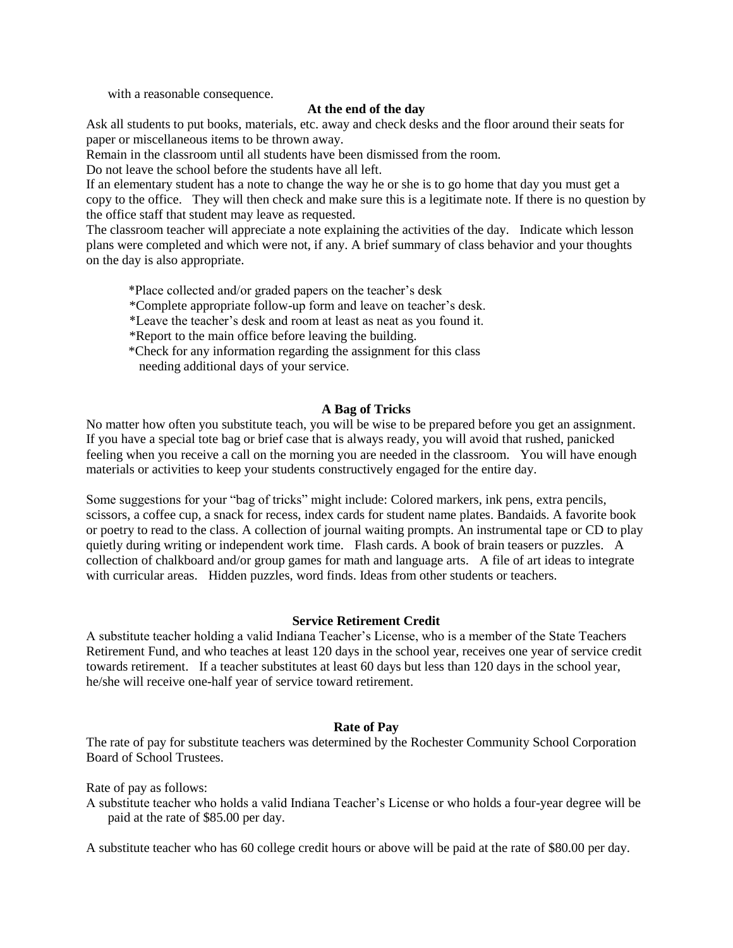with a reasonable consequence.

#### **At the end of the day**

Ask all students to put books, materials, etc. away and check desks and the floor around their seats for paper or miscellaneous items to be thrown away.

Remain in the classroom until all students have been dismissed from the room.

Do not leave the school before the students have all left.

If an elementary student has a note to change the way he or she is to go home that day you must get a copy to the office. They will then check and make sure this is a legitimate note. If there is no question by the office staff that student may leave as requested.

The classroom teacher will appreciate a note explaining the activities of the day. Indicate which lesson plans were completed and which were not, if any. A brief summary of class behavior and your thoughts on the day is also appropriate.

\*Place collected and/or graded papers on the teacher's desk

\*Complete appropriate follow-up form and leave on teacher's desk.

\*Leave the teacher's desk and room at least as neat as you found it.

\*Report to the main office before leaving the building.

 \*Check for any information regarding the assignment for this class needing additional days of your service.

#### **A Bag of Tricks**

No matter how often you substitute teach, you will be wise to be prepared before you get an assignment. If you have a special tote bag or brief case that is always ready, you will avoid that rushed, panicked feeling when you receive a call on the morning you are needed in the classroom. You will have enough materials or activities to keep your students constructively engaged for the entire day.

Some suggestions for your "bag of tricks" might include: Colored markers, ink pens, extra pencils, scissors, a coffee cup, a snack for recess, index cards for student name plates. Bandaids. A favorite book or poetry to read to the class. A collection of journal waiting prompts. An instrumental tape or CD to play quietly during writing or independent work time. Flash cards. A book of brain teasers or puzzles. A collection of chalkboard and/or group games for math and language arts. A file of art ideas to integrate with curricular areas. Hidden puzzles, word finds. Ideas from other students or teachers.

#### **Service Retirement Credit**

A substitute teacher holding a valid Indiana Teacher's License, who is a member of the State Teachers Retirement Fund, and who teaches at least 120 days in the school year, receives one year of service credit towards retirement. If a teacher substitutes at least 60 days but less than 120 days in the school year, he/she will receive one-half year of service toward retirement.

#### **Rate of Pay**

The rate of pay for substitute teachers was determined by the Rochester Community School Corporation Board of School Trustees.

Rate of pay as follows:

A substitute teacher who holds a valid Indiana Teacher's License or who holds a four-year degree will be paid at the rate of \$85.00 per day.

A substitute teacher who has 60 college credit hours or above will be paid at the rate of \$80.00 per day.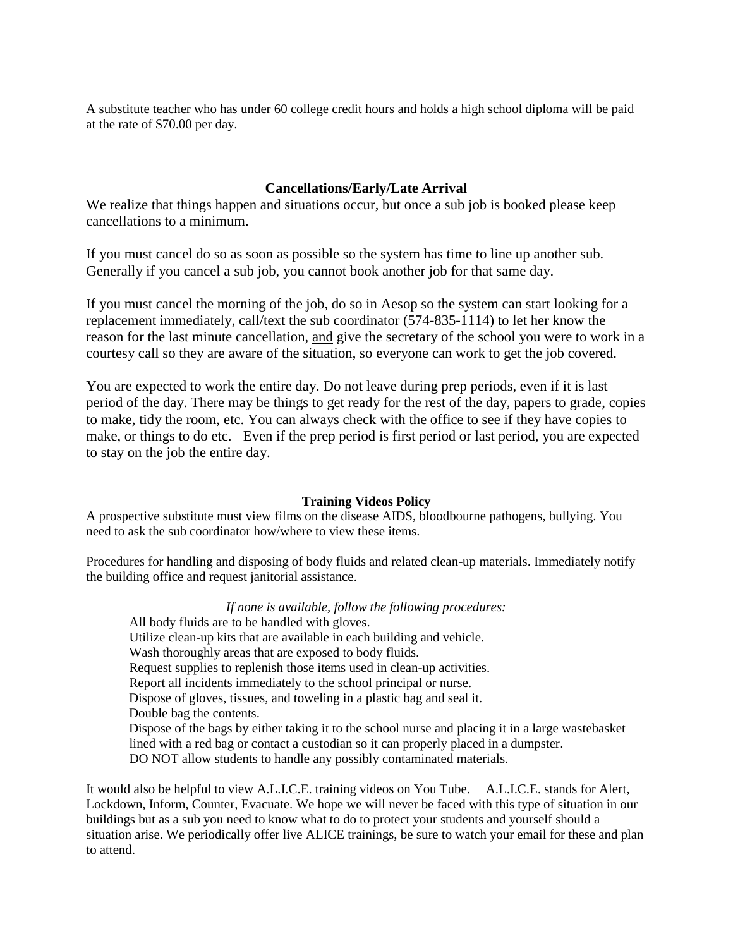A substitute teacher who has under 60 college credit hours and holds a high school diploma will be paid at the rate of \$70.00 per day.

### **Cancellations/Early/Late Arrival**

We realize that things happen and situations occur, but once a sub job is booked please keep cancellations to a minimum.

If you must cancel do so as soon as possible so the system has time to line up another sub. Generally if you cancel a sub job, you cannot book another job for that same day.

If you must cancel the morning of the job, do so in Aesop so the system can start looking for a replacement immediately, call/text the sub coordinator (574-835-1114) to let her know the reason for the last minute cancellation, and give the secretary of the school you were to work in a courtesy call so they are aware of the situation, so everyone can work to get the job covered.

You are expected to work the entire day. Do not leave during prep periods, even if it is last period of the day. There may be things to get ready for the rest of the day, papers to grade, copies to make, tidy the room, etc. You can always check with the office to see if they have copies to make, or things to do etc. Even if the prep period is first period or last period, you are expected to stay on the job the entire day.

#### **Training Videos Policy**

A prospective substitute must view films on the disease AIDS, bloodbourne pathogens, bullying. You need to ask the sub coordinator how/where to view these items.

Procedures for handling and disposing of body fluids and related clean-up materials. Immediately notify the building office and request janitorial assistance.

*If none is available, follow the following procedures:* 

All body fluids are to be handled with gloves. Utilize clean-up kits that are available in each building and vehicle. Wash thoroughly areas that are exposed to body fluids. Request supplies to replenish those items used in clean-up activities. Report all incidents immediately to the school principal or nurse. Dispose of gloves, tissues, and toweling in a plastic bag and seal it. Double bag the contents. Dispose of the bags by either taking it to the school nurse and placing it in a large wastebasket lined with a red bag or contact a custodian so it can properly placed in a dumpster. DO NOT allow students to handle any possibly contaminated materials.

It would also be helpful to view A.L.I.C.E. training videos on You Tube. A.L.I.C.E. stands for Alert, Lockdown, Inform, Counter, Evacuate. We hope we will never be faced with this type of situation in our buildings but as a sub you need to know what to do to protect your students and yourself should a situation arise. We periodically offer live ALICE trainings, be sure to watch your email for these and plan to attend.